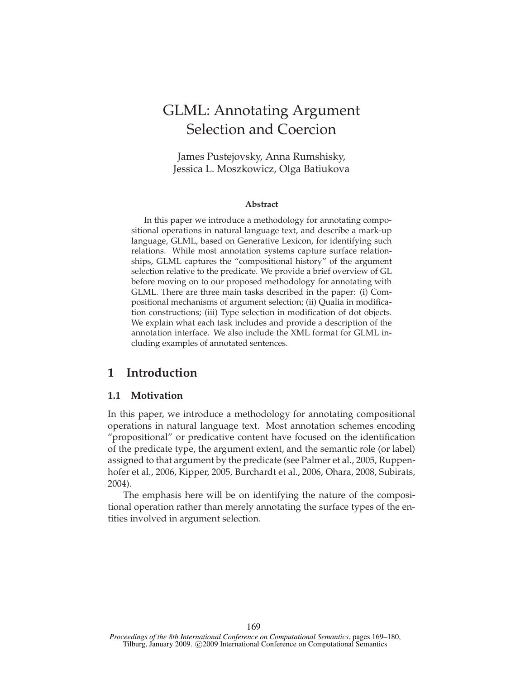# GLML: Annotating Argument Selection and Coercion

James Pustejovsky, Anna Rumshisky, Jessica L. Moszkowicz, Olga Batiukova

#### **Abstract**

In this paper we introduce a methodology for annotating compositional operations in natural language text, and describe a mark-up language, GLML, based on Generative Lexicon, for identifying such relations. While most annotation systems capture surface relationships, GLML captures the "compositional history" of the argument selection relative to the predicate. We provide a brief overview of GL before moving on to our proposed methodology for annotating with GLML. There are three main tasks described in the paper: (i) Compositional mechanisms of argument selection; (ii) Qualia in modification constructions; (iii) Type selection in modification of dot objects. We explain what each task includes and provide a description of the annotation interface. We also include the XML format for GLML including examples of annotated sentences.

# **1 Introduction**

# **1.1 Motivation**

In this paper, we introduce a methodology for annotating compositional operations in natural language text. Most annotation schemes encoding "propositional" or predicative content have focused on the identification of the predicate type, the argument extent, and the semantic role (or label) assigned to that argument by the predicate (see Palmer et al., 2005, Ruppenhofer et al., 2006, Kipper, 2005, Burchardt et al., 2006, Ohara, 2008, Subirats, 2004).

The emphasis here will be on identifying the nature of the compositional operation rather than merely annotating the surface types of the entities involved in argument selection.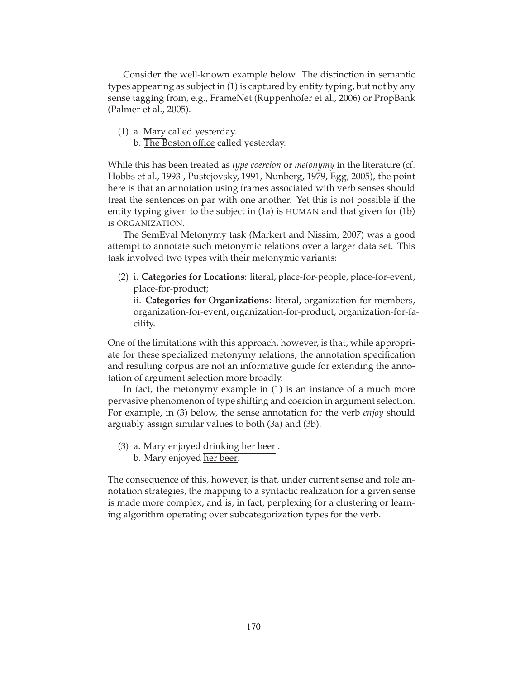Consider the well-known example below. The distinction in semantic types appearing as subject in (1) is captured by entity typing, but not by any sense tagging from, e.g., FrameNet (Ruppenhofer et al., 2006) or PropBank (Palmer et al., 2005).

- (1) a. Mary called yesterday.
	- b. The Boston office called yesterday.

While this has been treated as *type coercion* or *metonymy* in the literature (cf. Hobbs et al., 1993 , Pustejovsky, 1991, Nunberg, 1979, Egg, 2005), the point here is that an annotation using frames associated with verb senses should treat the sentences on par with one another. Yet this is not possible if the entity typing given to the subject in (1a) is HUMAN and that given for (1b) is ORGANIZATION.

The SemEval Metonymy task (Markert and Nissim, 2007) was a good attempt to annotate such metonymic relations over a larger data set. This task involved two types with their metonymic variants:

(2) i. **Categories for Locations**: literal, place-for-people, place-for-event, place-for-product;

ii. **Categories for Organizations**: literal, organization-for-members, organization-for-event, organization-for-product, organization-for-facility.

One of the limitations with this approach, however, is that, while appropriate for these specialized metonymy relations, the annotation specification and resulting corpus are not an informative guide for extending the annotation of argument selection more broadly.

In fact, the metonymy example in (1) is an instance of a much more pervasive phenomenon of type shifting and coercion in argument selection. For example, in (3) below, the sense annotation for the verb *enjoy* should arguably assign similar values to both (3a) and (3b).

- (3) a. Mary enjoyed drinking her beer .
	- b. Mary enjoyed <u>her beer</u>.

The consequence of this, however, is that, under current sense and role annotation strategies, the mapping to a syntactic realization for a given sense is made more complex, and is, in fact, perplexing for a clustering or learning algorithm operating over subcategorization types for the verb.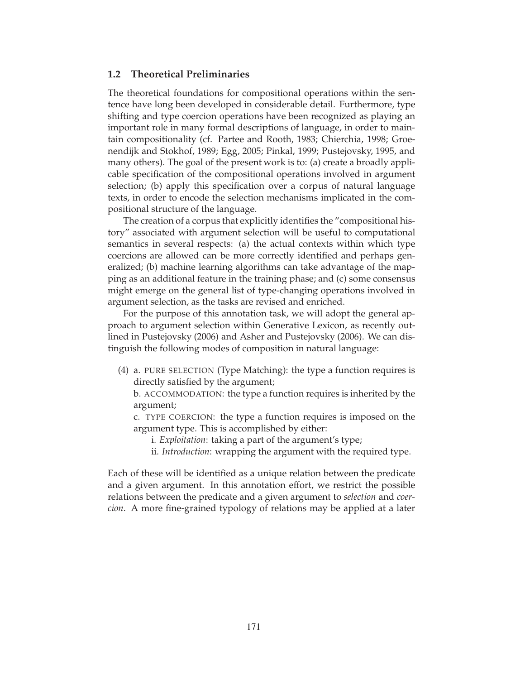## **1.2 Theoretical Preliminaries**

The theoretical foundations for compositional operations within the sentence have long been developed in considerable detail. Furthermore, type shifting and type coercion operations have been recognized as playing an important role in many formal descriptions of language, in order to maintain compositionality (cf. Partee and Rooth, 1983; Chierchia, 1998; Groenendijk and Stokhof, 1989; Egg, 2005; Pinkal, 1999; Pustejovsky, 1995, and many others). The goal of the present work is to: (a) create a broadly applicable specification of the compositional operations involved in argument selection; (b) apply this specification over a corpus of natural language texts, in order to encode the selection mechanisms implicated in the compositional structure of the language.

The creation of a corpus that explicitly identifies the "compositional history" associated with argument selection will be useful to computational semantics in several respects: (a) the actual contexts within which type coercions are allowed can be more correctly identified and perhaps generalized; (b) machine learning algorithms can take advantage of the mapping as an additional feature in the training phase; and (c) some consensus might emerge on the general list of type-changing operations involved in argument selection, as the tasks are revised and enriched.

For the purpose of this annotation task, we will adopt the general approach to argument selection within Generative Lexicon, as recently outlined in Pustejovsky (2006) and Asher and Pustejovsky (2006). We can distinguish the following modes of composition in natural language:

(4) a. PURE SELECTION (Type Matching): the type a function requires is directly satisfied by the argument;

b. ACCOMMODATION: the type a function requires is inherited by the argument;

c. TYPE COERCION: the type a function requires is imposed on the argument type. This is accomplished by either:

- i. *Exploitation*: taking a part of the argument's type;
- ii. *Introduction*: wrapping the argument with the required type.

Each of these will be identified as a unique relation between the predicate and a given argument. In this annotation effort, we restrict the possible relations between the predicate and a given argument to *selection* and *coercion*. A more fine-grained typology of relations may be applied at a later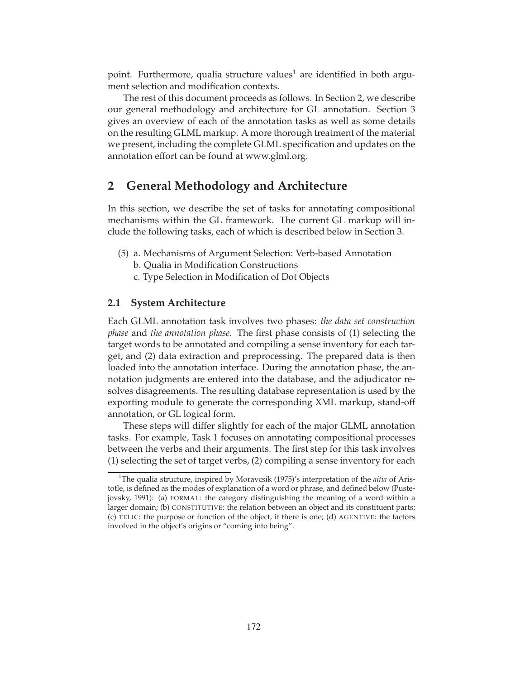point. Furthermore, qualia structure values<sup>1</sup> are identified in both argument selection and modification contexts.

The rest of this document proceeds as follows. In Section 2, we describe our general methodology and architecture for GL annotation. Section 3 gives an overview of each of the annotation tasks as well as some details on the resulting GLML markup. A more thorough treatment of the material we present, including the complete GLML specification and updates on the annotation effort can be found at www.glml.org.

# **2 General Methodology and Architecture**

In this section, we describe the set of tasks for annotating compositional mechanisms within the GL framework. The current GL markup will include the following tasks, each of which is described below in Section 3.

- (5) a. Mechanisms of Argument Selection: Verb-based Annotation
	- b. Qualia in Modification Constructions
	- c. Type Selection in Modification of Dot Objects

## **2.1 System Architecture**

Each GLML annotation task involves two phases: *the data set construction phase* and *the annotation phase*. The first phase consists of (1) selecting the target words to be annotated and compiling a sense inventory for each target, and (2) data extraction and preprocessing. The prepared data is then loaded into the annotation interface. During the annotation phase, the annotation judgments are entered into the database, and the adjudicator resolves disagreements. The resulting database representation is used by the exporting module to generate the corresponding XML markup, stand-off annotation, or GL logical form.

These steps will differ slightly for each of the major GLML annotation tasks. For example, Task 1 focuses on annotating compositional processes between the verbs and their arguments. The first step for this task involves (1) selecting the set of target verbs, (2) compiling a sense inventory for each

<sup>&</sup>lt;sup>1</sup>The qualia structure, inspired by Moravcsik (1975)'s interpretation of the *aitia* of Aristotle, is defined as the modes of explanation of a word or phrase, and defined below (Pustejovsky, 1991): (a) FORMAL: the category distinguishing the meaning of a word within a larger domain; (b) CONSTITUTIVE: the relation between an object and its constituent parts; (c) TELIC: the purpose or function of the object, if there is one; (d) AGENTIVE: the factors involved in the object's origins or "coming into being".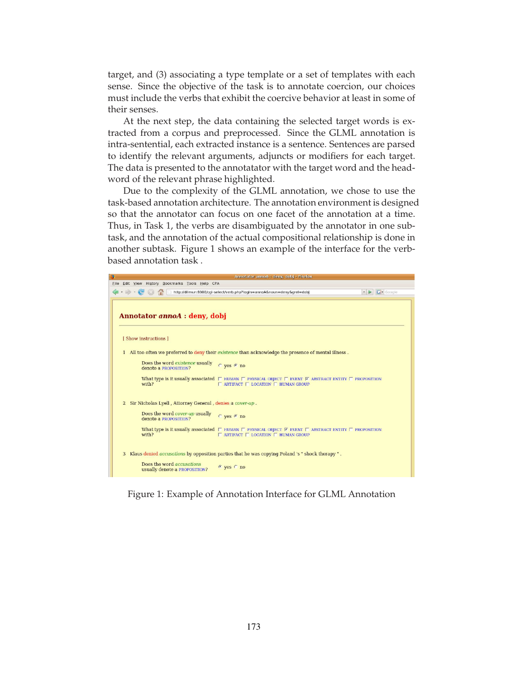target, and (3) associating a type template or a set of templates with each sense. Since the objective of the task is to annotate coercion, our choices must include the verbs that exhibit the coercive behavior at least in some of their senses.

At the next step, the data containing the selected target words is extracted from a corpus and preprocessed. Since the GLML annotation is intra-sentential, each extracted instance is a sentence. Sentences are parsed to identify the relevant arguments, adjuncts or modifiers for each target. The data is presented to the annotatator with the target word and the headword of the relevant phrase highlighted.

Due to the complexity of the GLML annotation, we chose to use the task-based annotation architecture. The annotation environment is designed so that the annotator can focus on one facet of the annotation at a time. Thus, in Task 1, the verbs are disambiguated by the annotator in one subtask, and the annotation of the actual compositional relationship is done in another subtask. Figure 1 shows an example of the interface for the verbbased annotation task .



Figure 1: Example of Annotation Interface for GLML Annotation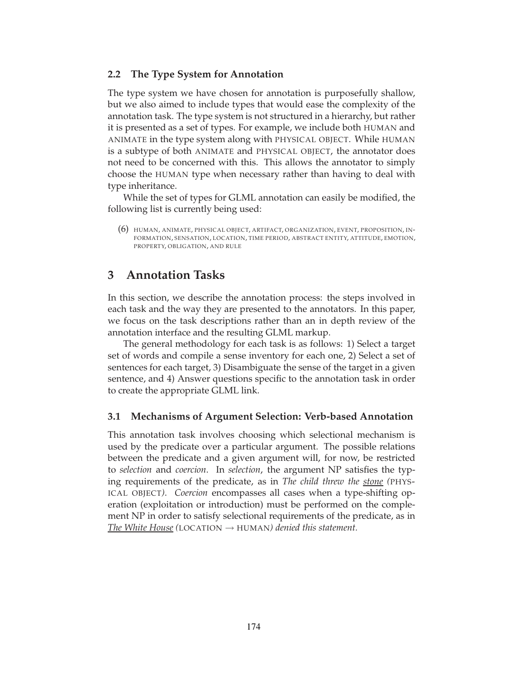# **2.2 The Type System for Annotation**

The type system we have chosen for annotation is purposefully shallow, but we also aimed to include types that would ease the complexity of the annotation task. The type system is not structured in a hierarchy, but rather it is presented as a set of types. For example, we include both HUMAN and ANIMATE in the type system along with PHYSICAL OBJECT. While HUMAN is a subtype of both ANIMATE and PHYSICAL OBJECT, the annotator does not need to be concerned with this. This allows the annotator to simply choose the HUMAN type when necessary rather than having to deal with type inheritance.

While the set of types for GLML annotation can easily be modified, the following list is currently being used:

(6) HUMAN, ANIMATE, PHYSICAL OBJECT, ARTIFACT, ORGANIZATION, EVENT, PROPOSITION, IN-FORMATION, SENSATION, LOCATION, TIME PERIOD, ABSTRACT ENTITY, ATTITUDE, EMOTION, PROPERTY, OBLIGATION, AND RULE

# **3 Annotation Tasks**

In this section, we describe the annotation process: the steps involved in each task and the way they are presented to the annotators. In this paper, we focus on the task descriptions rather than an in depth review of the annotation interface and the resulting GLML markup.

The general methodology for each task is as follows: 1) Select a target set of words and compile a sense inventory for each one, 2) Select a set of sentences for each target, 3) Disambiguate the sense of the target in a given sentence, and 4) Answer questions specific to the annotation task in order to create the appropriate GLML link.

# **3.1 Mechanisms of Argument Selection: Verb-based Annotation**

This annotation task involves choosing which selectional mechanism is used by the predicate over a particular argument. The possible relations between the predicate and a given argument will, for now, be restricted to *selection* and *coercion*. In *selection*, the argument NP satisfies the typing requirements of the predicate, as in *The child threw the stone (*PHYS-ICAL OBJECT*)*. *Coercion* encompasses all cases when a type-shifting operation (exploitation or introduction) must be performed on the complement NP in order to satisfy selectional requirements of the predicate, as in *The White House* (LOCATION  $\rightarrow$  HUMAN) denied this statement.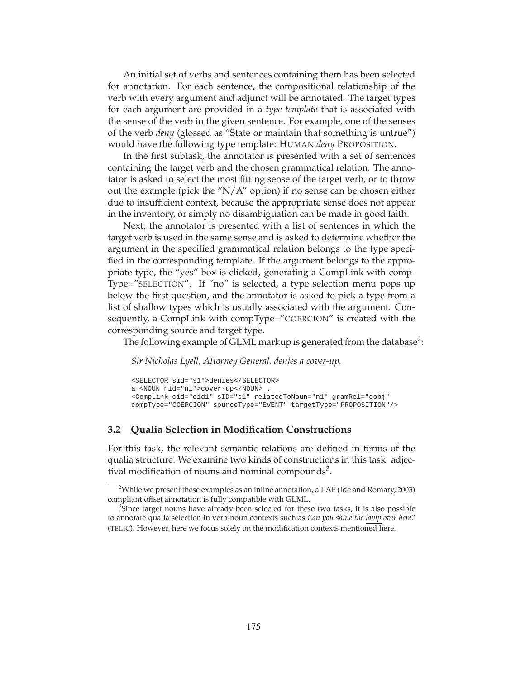An initial set of verbs and sentences containing them has been selected for annotation. For each sentence, the compositional relationship of the verb with every argument and adjunct will be annotated. The target types for each argument are provided in a *type template* that is associated with the sense of the verb in the given sentence. For example, one of the senses of the verb *deny* (glossed as "State or maintain that something is untrue") would have the following type template: HUMAN *deny* PROPOSITION.

In the first subtask, the annotator is presented with a set of sentences containing the target verb and the chosen grammatical relation. The annotator is asked to select the most fitting sense of the target verb, or to throw out the example (pick the " $N/A$ " option) if no sense can be chosen either due to insufficient context, because the appropriate sense does not appear in the inventory, or simply no disambiguation can be made in good faith.

Next, the annotator is presented with a list of sentences in which the target verb is used in the same sense and is asked to determine whether the argument in the specified grammatical relation belongs to the type specified in the corresponding template. If the argument belongs to the appropriate type, the "yes" box is clicked, generating a CompLink with comp-Type="SELECTION". If "no" is selected, a type selection menu pops up below the first question, and the annotator is asked to pick a type from a list of shallow types which is usually associated with the argument. Consequently, a CompLink with compType="COERCION" is created with the corresponding source and target type.

The following example of GLML markup is generated from the database<sup>2</sup>:

*Sir Nicholas Lyell, Attorney General, denies a cover-up.*

```
<SELECTOR sid="s1">denies</SELECTOR>
a <NOUN nid="n1">cover-up</NOUN> .
<CompLink cid="cid1" sID="s1" relatedToNoun="n1" gramRel="dobj"
compType="COERCION" sourceType="EVENT" targetType="PROPOSITION"/>
```
## **3.2 Qualia Selection in Modification Constructions**

For this task, the relevant semantic relations are defined in terms of the qualia structure. We examine two kinds of constructions in this task: adjectival modification of nouns and nominal compounds<sup>3</sup>.

<sup>&</sup>lt;sup>2</sup>While we present these examples as an inline annotation, a LAF (Ide and Romary, 2003) compliant offset annotation is fully compatible with GLML.

<sup>&</sup>lt;sup>3</sup>Since target nouns have already been selected for these two tasks, it is also possible to annotate qualia selection in verb-noun contexts such as *Can you shine the lamp over here?* (TELIC). However, here we focus solely on the modification contexts mentioned here.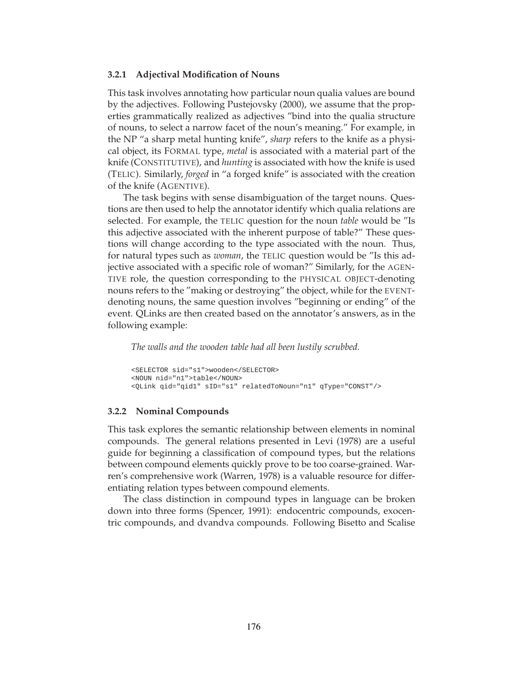#### **3.2.1 Adjectival Modification of Nouns**

This task involves annotating how particular noun qualia values are bound by the adjectives. Following Pustejovsky (2000), we assume that the properties grammatically realized as adjectives "bind into the qualia structure of nouns, to select a narrow facet of the noun's meaning." For example, in the NP "a sharp metal hunting knife", *sharp* refers to the knife as a physical object, its FORMAL type, *metal* is associated with a material part of the knife (CONSTITUTIVE), and *hunting* is associated with how the knife is used (TELIC). Similarly, *forged* in "a forged knife" is associated with the creation of the knife (AGENTIVE).

The task begins with sense disambiguation of the target nouns. Questions are then used to help the annotator identify which qualia relations are selected. For example, the TELIC question for the noun *table* would be "Is this adjective associated with the inherent purpose of table?" These questions will change according to the type associated with the noun. Thus, for natural types such as *woman*, the TELIC question would be "Is this adjective associated with a specific role of woman?" Similarly, for the AGEN-TIVE role, the question corresponding to the PHYSICAL OBJECT-denoting nouns refers to the "making or destroying" the object, while for the EVENTdenoting nouns, the same question involves "beginning or ending" of the event. QLinks are then created based on the annotator's answers, as in the following example:

*The walls and the wooden table had all been lustily scrubbed.*

```
<SELECTOR sid="s1">wooden</SELECTOR>
<NOUN nid="n1">table</NOUN>
<QLink qid="qid1" sID="s1" relatedToNoun="n1" qType="CONST"/>
```
#### **3.2.2 Nominal Compounds**

This task explores the semantic relationship between elements in nominal compounds. The general relations presented in Levi (1978) are a useful guide for beginning a classification of compound types, but the relations between compound elements quickly prove to be too coarse-grained. Warren's comprehensive work (Warren, 1978) is a valuable resource for differentiating relation types between compound elements.

The class distinction in compound types in language can be broken down into three forms (Spencer, 1991): endocentric compounds, exocentric compounds, and dvandva compounds. Following Bisetto and Scalise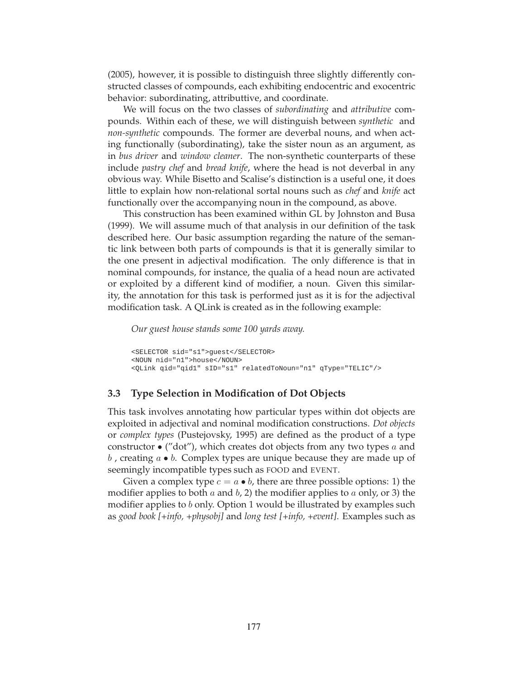(2005), however, it is possible to distinguish three slightly differently constructed classes of compounds, each exhibiting endocentric and exocentric behavior: subordinating, attributtive, and coordinate.

We will focus on the two classes of *subordinating* and *attributive* compounds. Within each of these, we will distinguish between *synthetic* and *non-synthetic* compounds. The former are deverbal nouns, and when acting functionally (subordinating), take the sister noun as an argument, as in *bus driver* and *window cleaner*. The non-synthetic counterparts of these include *pastry chef* and *bread knife*, where the head is not deverbal in any obvious way. While Bisetto and Scalise's distinction is a useful one, it does little to explain how non-relational sortal nouns such as *chef* and *knife* act functionally over the accompanying noun in the compound, as above.

This construction has been examined within GL by Johnston and Busa (1999). We will assume much of that analysis in our definition of the task described here. Our basic assumption regarding the nature of the semantic link between both parts of compounds is that it is generally similar to the one present in adjectival modification. The only difference is that in nominal compounds, for instance, the qualia of a head noun are activated or exploited by a different kind of modifier, a noun. Given this similarity, the annotation for this task is performed just as it is for the adjectival modification task. A QLink is created as in the following example:

*Our guest house stands some 100 yards away.*

```
<SELECTOR sid="s1">guest</SELECTOR>
<NOUN nid="n1">house</NOUN>
<QLink qid="qid1" sID="s1" relatedToNoun="n1" qType="TELIC"/>
```
## **3.3 Type Selection in Modification of Dot Objects**

This task involves annotating how particular types within dot objects are exploited in adjectival and nominal modification constructions. *Dot objects* or *complex types* (Pustejovsky, 1995) are defined as the product of a type constructor  $\bullet$  ("dot"), which creates dot objects from any two types a and  $b$ , creating  $a \bullet b$ . Complex types are unique because they are made up of seemingly incompatible types such as FOOD and EVENT.

Given a complex type  $c = a \bullet b$ , there are three possible options: 1) the modifier applies to both a and  $b$ , 2) the modifier applies to a only, or 3) the modifier applies to b only. Option 1 would be illustrated by examples such as *good book [+info, +physobj]* and *long test [+info, +event]*. Examples such as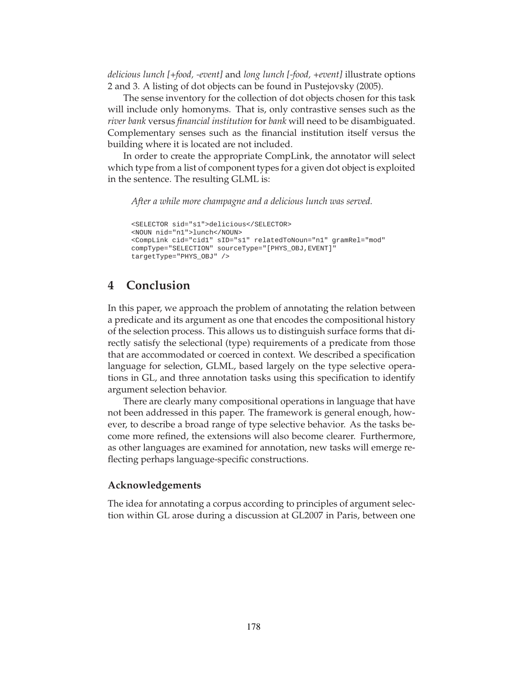*delicious lunch [+food, -event]* and *long lunch [-food, +event]* illustrate options 2 and 3. A listing of dot objects can be found in Pustejovsky (2005).

The sense inventory for the collection of dot objects chosen for this task will include only homonyms. That is, only contrastive senses such as the *river bank* versus *financial institution* for *bank* will need to be disambiguated. Complementary senses such as the financial institution itself versus the building where it is located are not included.

In order to create the appropriate CompLink, the annotator will select which type from a list of component types for a given dot object is exploited in the sentence. The resulting GLML is:

*After a while more champagne and a delicious lunch was served.*

```
<SELECTOR sid="s1">delicious</SELECTOR>
<NOUN nid="n1">lunch</NOUN>
<CompLink cid="cid1" sID="s1" relatedToNoun="n1" gramRel="mod"
compType="SELECTION" sourceType="[PHYS_OBJ,EVENT]"
targetType="PHYS_OBJ" />
```
# **4 Conclusion**

In this paper, we approach the problem of annotating the relation between a predicate and its argument as one that encodes the compositional history of the selection process. This allows us to distinguish surface forms that directly satisfy the selectional (type) requirements of a predicate from those that are accommodated or coerced in context. We described a specification language for selection, GLML, based largely on the type selective operations in GL, and three annotation tasks using this specification to identify argument selection behavior.

There are clearly many compositional operations in language that have not been addressed in this paper. The framework is general enough, however, to describe a broad range of type selective behavior. As the tasks become more refined, the extensions will also become clearer. Furthermore, as other languages are examined for annotation, new tasks will emerge reflecting perhaps language-specific constructions.

#### **Acknowledgements**

The idea for annotating a corpus according to principles of argument selection within GL arose during a discussion at GL2007 in Paris, between one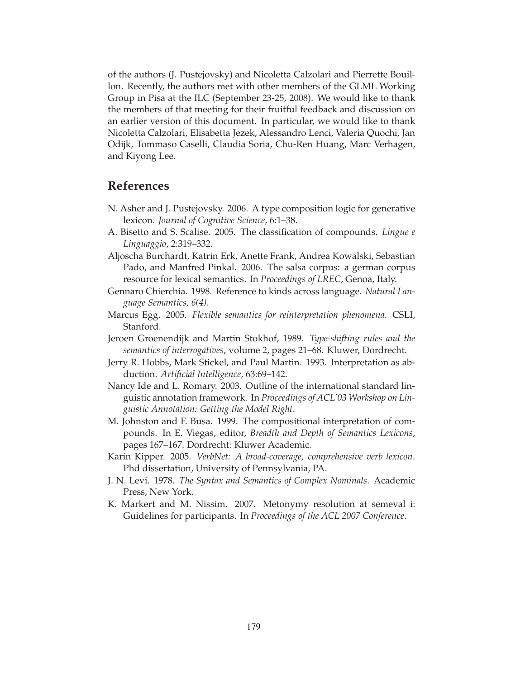of the authors (J. Pustejovsky) and Nicoletta Calzolari and Pierrette Bouillon. Recently, the authors met with other members of the GLML Working Group in Pisa at the ILC (September 23-25, 2008). We would like to thank the members of that meeting for their fruitful feedback and discussion on an earlier version of this document. In particular, we would like to thank Nicoletta Calzolari, Elisabetta Jezek, Alessandro Lenci, Valeria Quochi, Jan Odijk, Tommaso Caselli, Claudia Soria, Chu-Ren Huang, Marc Verhagen, and Kiyong Lee.

# **References**

- N. Asher and J. Pustejovsky. 2006. A type composition logic for generative lexicon. *Journal of Cognitive Science*, 6:1–38.
- A. Bisetto and S. Scalise. 2005. The classification of compounds. *Lingue e Linguaggio*, 2:319–332.
- Aljoscha Burchardt, Katrin Erk, Anette Frank, Andrea Kowalski, Sebastian Pado, and Manfred Pinkal. 2006. The salsa corpus: a german corpus resource for lexical semantics. In *Proceedings of LREC*, Genoa, Italy.
- Gennaro Chierchia. 1998. Reference to kinds across language. *Natural Language Semantics, 6(4)*.
- Marcus Egg. 2005. *Flexible semantics for reinterpretation phenomena*. CSLI, Stanford.
- Jeroen Groenendijk and Martin Stokhof, 1989. *Type-shifting rules and the semantics of interrogatives*, volume 2, pages 21–68. Kluwer, Dordrecht.
- Jerry R. Hobbs, Mark Stickel, and Paul Martin. 1993. Interpretation as abduction. *Artificial Intelligence*, 63:69–142.
- Nancy Ide and L. Romary. 2003. Outline of the international standard linguistic annotation framework. In *Proceedings of ACL'03 Workshop on Linguistic Annotation: Getting the Model Right*.
- M. Johnston and F. Busa. 1999. The compositional interpretation of compounds. In E. Viegas, editor, *Breadth and Depth of Semantics Lexicons*, pages 167–167. Dordrecht: Kluwer Academic.
- Karin Kipper. 2005. *VerbNet: A broad-coverage, comprehensive verb lexicon*. Phd dissertation, University of Pennsylvania, PA.
- J. N. Levi. 1978. *The Syntax and Semantics of Complex Nominals*. Academic Press, New York.
- K. Markert and M. Nissim. 2007. Metonymy resolution at semeval i: Guidelines for participants. In *Proceedings of the ACL 2007 Conference*.